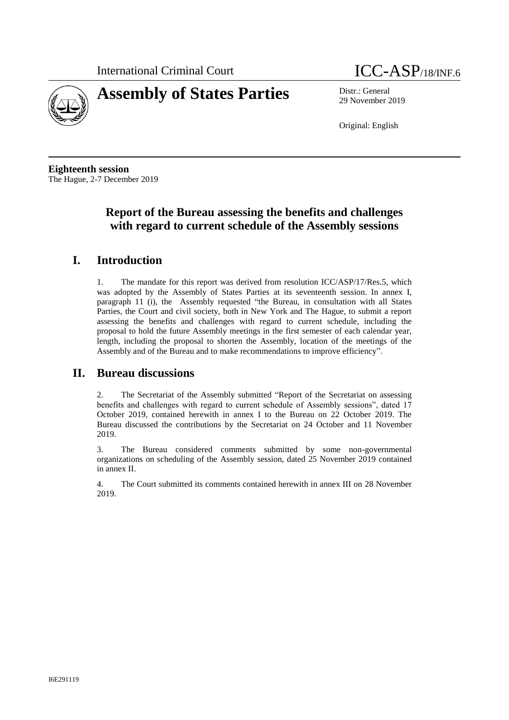



29 November 2019

Original: English

**Eighteenth session** The Hague, 2-7 December 2019

# **Report of the Bureau assessing the benefits and challenges with regard to current schedule of the Assembly sessions**

## **I. Introduction**

1. The mandate for this report was derived from resolution ICC/ASP/17/Res.5, which was adopted by the Assembly of States Parties at its seventeenth session. In annex I, paragraph 11 (i), the Assembly requested "the Bureau, in consultation with all States Parties, the Court and civil society, both in New York and The Hague, to submit a report assessing the benefits and challenges with regard to current schedule, including the proposal to hold the future Assembly meetings in the first semester of each calendar year, length, including the proposal to shorten the Assembly, location of the meetings of the Assembly and of the Bureau and to make recommendations to improve efficiency".

## **II. Bureau discussions**

2. The Secretariat of the Assembly submitted "Report of the Secretariat on assessing benefits and challenges with regard to current schedule of Assembly sessions", dated 17 October 2019, contained herewith in annex I to the Bureau on 22 October 2019. The Bureau discussed the contributions by the Secretariat on 24 October and 11 November 2019.

3. The Bureau considered comments submitted by some non-governmental organizations on scheduling of the Assembly session, dated 25 November 2019 contained in annex II.

4. The Court submitted its comments contained herewith in annex III on 28 November 2019.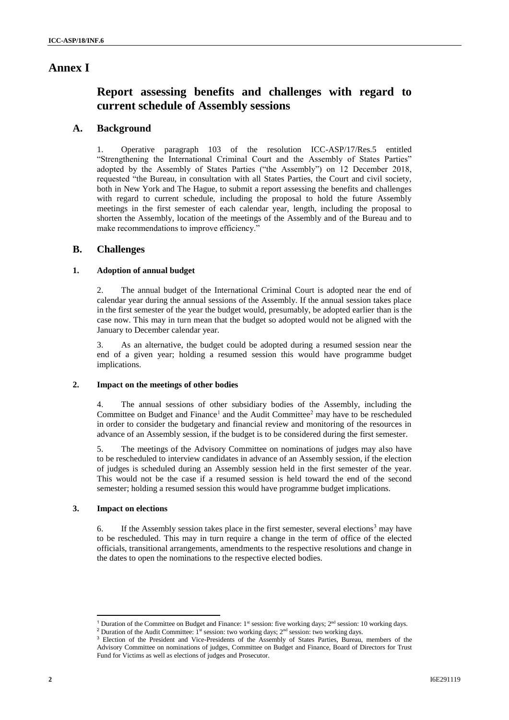## **Annex I**

# **Report assessing benefits and challenges with regard to current schedule of Assembly sessions**

## **A. Background**

1. Operative paragraph 103 of the resolution ICC-ASP/17/Res.5 entitled "Strengthening the International Criminal Court and the Assembly of States Parties" adopted by the Assembly of States Parties ("the Assembly") on 12 December 2018, requested "the Bureau, in consultation with all States Parties, the Court and civil society, both in New York and The Hague, to submit a report assessing the benefits and challenges with regard to current schedule, including the proposal to hold the future Assembly meetings in the first semester of each calendar year, length, including the proposal to shorten the Assembly, location of the meetings of the Assembly and of the Bureau and to make recommendations to improve efficiency."

### **B. Challenges**

#### **1. Adoption of annual budget**

2. The annual budget of the International Criminal Court is adopted near the end of calendar year during the annual sessions of the Assembly. If the annual session takes place in the first semester of the year the budget would, presumably, be adopted earlier than is the case now. This may in turn mean that the budget so adopted would not be aligned with the January to December calendar year.

3. As an alternative, the budget could be adopted during a resumed session near the end of a given year; holding a resumed session this would have programme budget implications.

#### **2. Impact on the meetings of other bodies**

4. The annual sessions of other subsidiary bodies of the Assembly, including the Committee on Budget and Finance<sup>1</sup> and the Audit Committee<sup>2</sup> may have to be rescheduled in order to consider the budgetary and financial review and monitoring of the resources in advance of an Assembly session, if the budget is to be considered during the first semester.

5. The meetings of the Advisory Committee on nominations of judges may also have to be rescheduled to interview candidates in advance of an Assembly session, if the election of judges is scheduled during an Assembly session held in the first semester of the year. This would not be the case if a resumed session is held toward the end of the second semester; holding a resumed session this would have programme budget implications.

### **3. Impact on elections**

 $\overline{\phantom{a}}$ 

6. If the Assembly session takes place in the first semester, several elections<sup>3</sup> may have to be rescheduled. This may in turn require a change in the term of office of the elected officials, transitional arrangements, amendments to the respective resolutions and change in the dates to open the nominations to the respective elected bodies.

<sup>&</sup>lt;sup>1</sup> Duration of the Committee on Budget and Finance:  $1<sup>st</sup>$  session: five working days;  $2<sup>nd</sup>$  session: 10 working days.

<sup>&</sup>lt;sup>2</sup> Duration of the Audit Committee:  $1^{st}$  session: two working days;  $2^{nd}$  session: two working days.

<sup>&</sup>lt;sup>3</sup> Election of the President and Vice-Presidents of the Assembly of States Parties, Bureau, members of the Advisory Committee on nominations of judges, Committee on Budget and Finance, Board of Directors for Trust Fund for Victims as well as elections of judges and Prosecutor.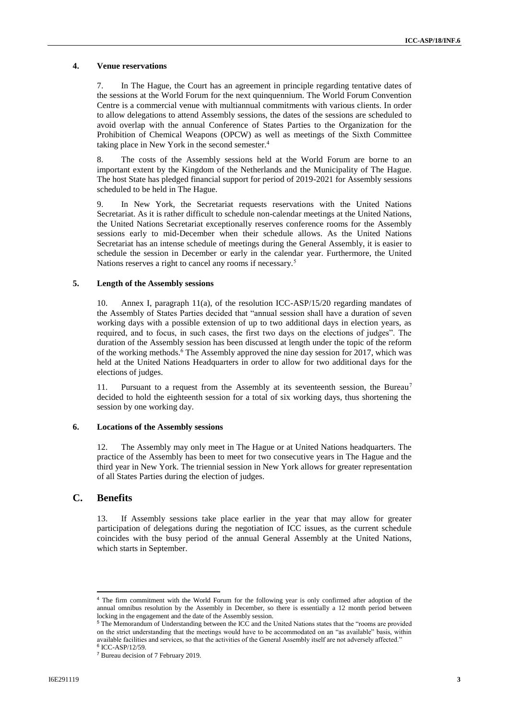#### **4. Venue reservations**

7. In The Hague, the Court has an agreement in principle regarding tentative dates of the sessions at the World Forum for the next quinquennium. The World Forum Convention Centre is a commercial venue with multiannual commitments with various clients. In order to allow delegations to attend Assembly sessions, the dates of the sessions are scheduled to avoid overlap with the annual Conference of States Parties to the Organization for the Prohibition of Chemical Weapons (OPCW) as well as meetings of the Sixth Committee taking place in New York in the second semester.<sup>4</sup>

8. The costs of the Assembly sessions held at the World Forum are borne to an important extent by the Kingdom of the Netherlands and the Municipality of The Hague. The host State has pledged financial support for period of 2019-2021 for Assembly sessions scheduled to be held in The Hague.

9. In New York, the Secretariat requests reservations with the United Nations Secretariat. As it is rather difficult to schedule non-calendar meetings at the United Nations, the United Nations Secretariat exceptionally reserves conference rooms for the Assembly sessions early to mid-December when their schedule allows. As the United Nations Secretariat has an intense schedule of meetings during the General Assembly, it is easier to schedule the session in December or early in the calendar year. Furthermore, the United Nations reserves a right to cancel any rooms if necessary.<sup>5</sup>

#### **5. Length of the Assembly sessions**

10. Annex I, paragraph 11(a), of the resolution ICC-ASP/15/20 regarding mandates of the Assembly of States Parties decided that "annual session shall have a duration of seven working days with a possible extension of up to two additional days in election years, as required, and to focus, in such cases, the first two days on the elections of judges". The duration of the Assembly session has been discussed at length under the topic of the reform of the working methods.<sup>6</sup> The Assembly approved the nine day session for 2017, which was held at the United Nations Headquarters in order to allow for two additional days for the elections of judges.

11. Pursuant to a request from the Assembly at its seventeenth session, the Bureau<sup>7</sup> decided to hold the eighteenth session for a total of six working days, thus shortening the session by one working day.

#### **6. Locations of the Assembly sessions**

12. The Assembly may only meet in The Hague or at United Nations headquarters. The practice of the Assembly has been to meet for two consecutive years in The Hague and the third year in New York. The triennial session in New York allows for greater representation of all States Parties during the election of judges.

### **C. Benefits**

 $\overline{\phantom{a}}$ 

13. If Assembly sessions take place earlier in the year that may allow for greater participation of delegations during the negotiation of ICC issues, as the current schedule coincides with the busy period of the annual General Assembly at the United Nations, which starts in September.

<sup>4</sup> The firm commitment with the World Forum for the following year is only confirmed after adoption of the annual omnibus resolution by the Assembly in December, so there is essentially a 12 month period between locking in the engagement and the date of the Assembly session.

<sup>5</sup> The Memorandum of Understanding between the ICC and the United Nations states that the "rooms are provided on the strict understanding that the meetings would have to be accommodated on an "as available" basis, within available facilities and services, so that the activities of the General Assembly itself are not adversely affected." 6 ICC-ASP/12/59.

<sup>7</sup> Bureau decision of 7 February 2019.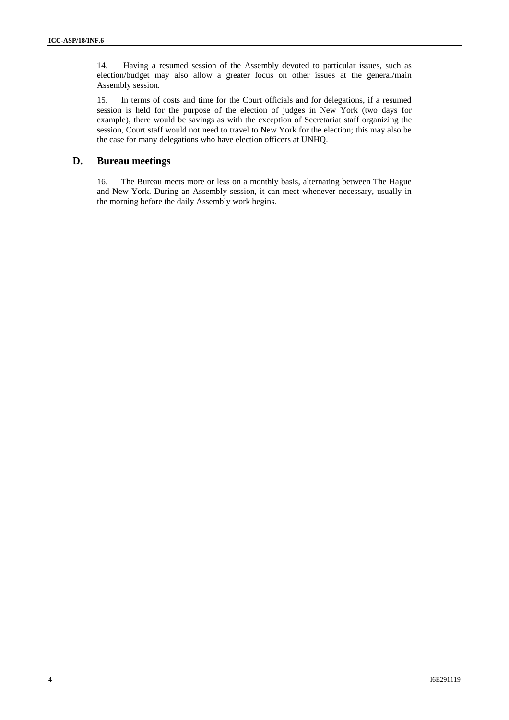14. Having a resumed session of the Assembly devoted to particular issues, such as election/budget may also allow a greater focus on other issues at the general/main Assembly session.

15. In terms of costs and time for the Court officials and for delegations, if a resumed session is held for the purpose of the election of judges in New York (two days for example), there would be savings as with the exception of Secretariat staff organizing the session, Court staff would not need to travel to New York for the election; this may also be the case for many delegations who have election officers at UNHQ.

## **D. Bureau meetings**

16. The Bureau meets more or less on a monthly basis, alternating between The Hague and New York. During an Assembly session, it can meet whenever necessary, usually in the morning before the daily Assembly work begins.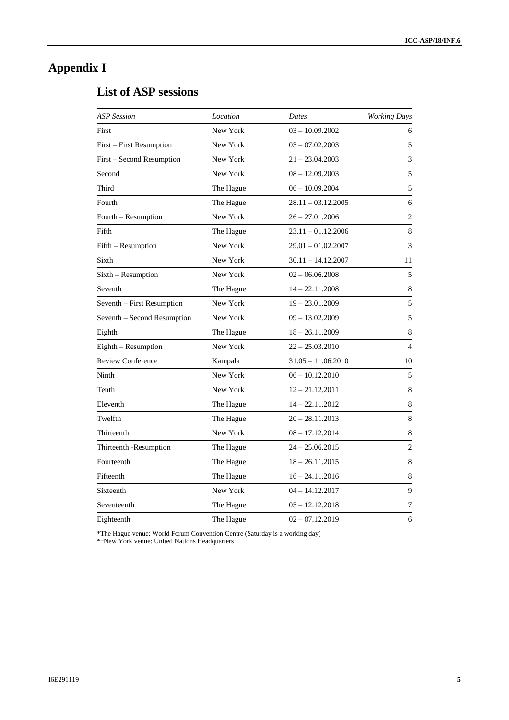# **Appendix I**

# **List of ASP sessions**

| <b>ASP</b> Session          | Location  | Dates                | <b>Working Days</b> |
|-----------------------------|-----------|----------------------|---------------------|
| First                       | New York  | $03 - 10.09.2002$    | 6                   |
| First - First Resumption    | New York  | $03 - 07.02.2003$    | 5                   |
| First – Second Resumption   | New York  | $21 - 23.04.2003$    | 3                   |
| Second                      | New York  | $08 - 12.09.2003$    | 5                   |
| Third                       | The Hague | $06 - 10.09.2004$    | 5                   |
| Fourth                      | The Hague | 28.11 - 03.12.2005   | 6                   |
| Fourth – Resumption         | New York  | 26 – 27.01.2006      | $\overline{c}$      |
| Fifth                       | The Hague | $23.11 - 01.12.2006$ | $\,8\,$             |
| Fifth - Resumption          | New York  | $29.01 - 01.02.2007$ | 3                   |
| Sixth                       | New York  | $30.11 - 14.12.2007$ | 11                  |
| Sixth - Resumption          | New York  | $02 - 06.06.2008$    | 5                   |
| Seventh                     | The Hague | $14 - 22.11.2008$    | 8                   |
| Seventh - First Resumption  | New York  | $19 - 23.01.2009$    | 5                   |
| Seventh - Second Resumption | New York  | $09 - 13.02.2009$    | 5                   |
| Eighth                      | The Hague | $18 - 26.11.2009$    | $\,8\,$             |
| Eighth - Resumption         | New York  | $22 - 25.03.2010$    | $\overline{4}$      |
| <b>Review Conference</b>    | Kampala   | $31.05 - 11.06.2010$ | 10                  |
| Ninth                       | New York  | $06 - 10.122010$     | 5                   |
| Tenth                       | New York  | $12 - 21.12.2011$    | 8                   |
| Eleventh                    | The Hague | $14 - 22.11.2012$    | $\,8\,$             |
| Twelfth                     | The Hague | $20 - 28.11.2013$    | 8                   |
| Thirteenth                  | New York  | $08 - 17.12.2014$    | 8                   |
| Thirteenth -Resumption      | The Hague | $24 - 25.06.2015$    | $\overline{c}$      |
| Fourteenth                  | The Hague | $18 - 26.11.2015$    | $\,8\,$             |
| Fifteenth                   | The Hague | $16 - 24.11.2016$    | 8                   |
| Sixteenth                   | New York  | $04 - 14.12.2017$    | 9                   |
| Seventeenth                 | The Hague | $05 - 12.12.2018$    | $\boldsymbol{7}$    |
| Eighteenth                  | The Hague | $02 - 07.12.2019$    | 6                   |

\*The Hague venue: World Forum Convention Centre (Saturday is a working day)

\*\*New York venue: United Nations Headquarters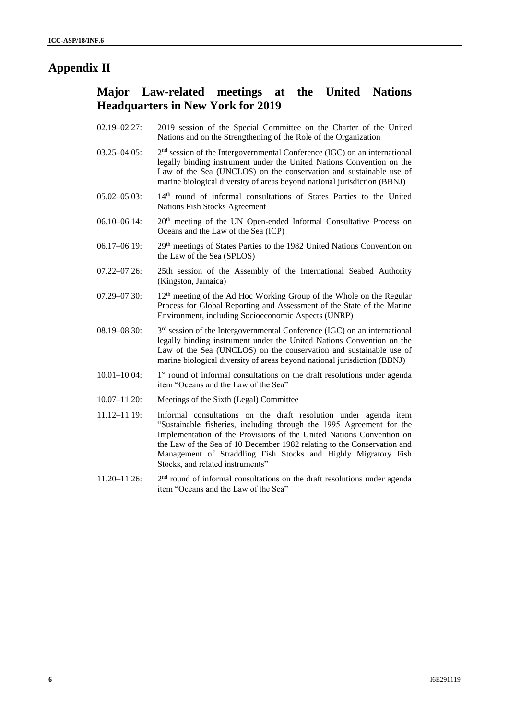# **Appendix II**

# **Major Law-related meetings at the United Nations Headquarters in New York for 2019**

- 02.19–02.27: 2019 session of the Special Committee on the Charter of the United Nations and on the Strengthening of the Role of the Organization
- 03.25–04.05: 2  $2<sup>nd</sup>$  session of the Intergovernmental Conference (IGC) on an international legally binding instrument under the United Nations Convention on the Law of the Sea (UNCLOS) on the conservation and sustainable use of marine biological diversity of areas beyond national jurisdiction (BBNJ)
- 05.02–05.03: 14<sup>th</sup> round of informal consultations of States Parties to the United Nations Fish Stocks Agreement
- 06.10–06.14: 20<sup>th</sup> meeting of the UN Open-ended Informal Consultative Process on Oceans and the Law of the Sea (ICP)
- 06.17–06.19: 29<sup>th</sup> meetings of States Parties to the 1982 United Nations Convention on the Law of the Sea (SPLOS)
- 07.22–07.26: 25th session of the Assembly of the International Seabed Authority (Kingston, Jamaica)
- 07.29–07.30: 12<sup>th</sup> meeting of the Ad Hoc Working Group of the Whole on the Regular Process for Global Reporting and Assessment of the State of the Marine Environment, including Socioeconomic Aspects (UNRP)
- 08.19-08.30:  $3<sup>rd</sup>$  session of the Intergovernmental Conference (IGC) on an international legally binding instrument under the United Nations Convention on the Law of the Sea (UNCLOS) on the conservation and sustainable use of marine biological diversity of areas beyond national jurisdiction (BBNJ)
- $10.01 10.04$ :  $1<sup>st</sup>$  round of informal consultations on the draft resolutions under agenda item "Oceans and the Law of the Sea"
- 10.07–11.20: Meetings of the Sixth (Legal) Committee
- 11.12–11.19: Informal consultations on the draft resolution under agenda item "Sustainable fisheries, including through the 1995 Agreement for the Implementation of the Provisions of the United Nations Convention on the Law of the Sea of 10 December 1982 relating to the Conservation and Management of Straddling Fish Stocks and Highly Migratory Fish Stocks, and related instruments"
- 11.20–11.26: 2  $2<sup>nd</sup>$  round of informal consultations on the draft resolutions under agenda item "Oceans and the Law of the Sea"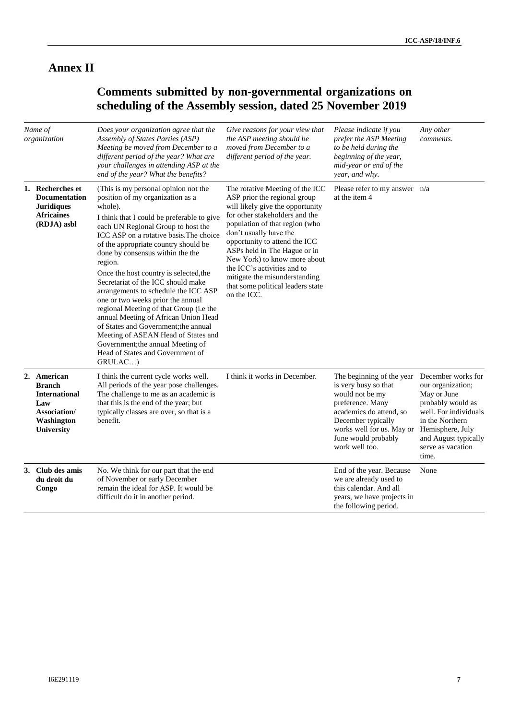# **Annex II**

# **Comments submitted by non-governmental organizations on scheduling of the Assembly session, dated 25 November 2019**

| Name of<br>organization |                                                                                                                | Does your organization agree that the<br>Assembly of States Parties (ASP)<br>Meeting be moved from December to a<br>different period of the year? What are<br>your challenges in attending ASP at the<br>end of the year? What the benefits?                                                                                                                                                                                                                                                                                                                                                                                                                                                                                 | Give reasons for your view that<br>the ASP meeting should be<br>moved from December to a<br>different period of the year.                                                                                                                                                                                                                                                                                              | Please indicate if you<br>prefer the ASP Meeting<br>to be held during the<br>beginning of the year,<br>mid-year or end of the<br>year, and why.                                                                 | Any other<br>comments.                                                                                                                                                                            |
|-------------------------|----------------------------------------------------------------------------------------------------------------|------------------------------------------------------------------------------------------------------------------------------------------------------------------------------------------------------------------------------------------------------------------------------------------------------------------------------------------------------------------------------------------------------------------------------------------------------------------------------------------------------------------------------------------------------------------------------------------------------------------------------------------------------------------------------------------------------------------------------|------------------------------------------------------------------------------------------------------------------------------------------------------------------------------------------------------------------------------------------------------------------------------------------------------------------------------------------------------------------------------------------------------------------------|-----------------------------------------------------------------------------------------------------------------------------------------------------------------------------------------------------------------|---------------------------------------------------------------------------------------------------------------------------------------------------------------------------------------------------|
|                         | 1. Recherches et<br><b>Documentation</b><br><b>Juridiques</b><br><b>Africaines</b><br>(RDJA) asbl              | (This is my personal opinion not the<br>position of my organization as a<br>whole).<br>I think that I could be preferable to give<br>each UN Regional Group to host the<br>ICC ASP on a rotative basis. The choice<br>of the appropriate country should be<br>done by consensus within the the<br>region.<br>Once the host country is selected, the<br>Secretariat of the ICC should make<br>arrangements to schedule the ICC ASP<br>one or two weeks prior the annual<br>regional Meeting of that Group (i.e the<br>annual Meeting of African Union Head<br>of States and Government; the annual<br>Meeting of ASEAN Head of States and<br>Government; the annual Meeting of<br>Head of States and Government of<br>GRULAC) | The rotative Meeting of the ICC<br>ASP prior the regional group<br>will likely give the opportunity<br>for other stakeholders and the<br>population of that region (who<br>don't usually have the<br>opportunity to attend the ICC<br>ASPs held in The Hague or in<br>New York) to know more about<br>the ICC's activities and to<br>mitigate the misunderstanding<br>that some political leaders state<br>on the ICC. | Please refer to my answer n/a<br>at the item 4                                                                                                                                                                  |                                                                                                                                                                                                   |
|                         | 2. American<br><b>Branch</b><br><b>International</b><br>Law<br>Association/<br>Washington<br><b>University</b> | I think the current cycle works well.<br>All periods of the year pose challenges.<br>The challenge to me as an academic is<br>that this is the end of the year; but<br>typically classes are over, so that is a<br>benefit.                                                                                                                                                                                                                                                                                                                                                                                                                                                                                                  | I think it works in December.                                                                                                                                                                                                                                                                                                                                                                                          | The beginning of the year<br>is very busy so that<br>would not be my<br>preference. Many<br>academics do attend, so<br>December typically<br>works well for us. May or<br>June would probably<br>work well too. | December works for<br>our organization;<br>May or June<br>probably would as<br>well. For individuals<br>in the Northern<br>Hemisphere, July<br>and August typically<br>serve as vacation<br>time. |
|                         | 3. Club des amis<br>du droit du<br>Congo                                                                       | No. We think for our part that the end<br>of November or early December<br>remain the ideal for ASP. It would be<br>difficult do it in another period.                                                                                                                                                                                                                                                                                                                                                                                                                                                                                                                                                                       |                                                                                                                                                                                                                                                                                                                                                                                                                        | End of the year. Because<br>we are already used to<br>this calendar. And all<br>years, we have projects in<br>the following period.                                                                             | None                                                                                                                                                                                              |